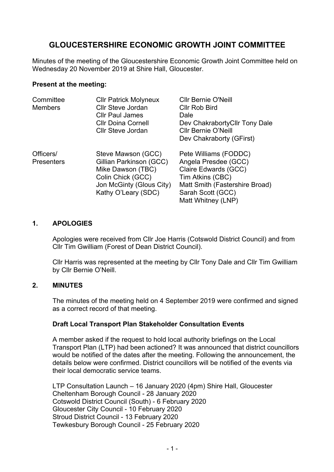# **GLOUCESTERSHIRE ECONOMIC GROWTH JOINT COMMITTEE**

Minutes of the meeting of the Gloucestershire Economic Growth Joint Committee held on Wednesday 20 November 2019 at Shire Hall, Gloucester.

#### **Present at the meeting:**

| Committee<br><b>Members</b>    | <b>Cllr Patrick Molyneux</b><br><b>Cllr Steve Jordan</b><br><b>Cllr Paul James</b><br><b>Cllr Doina Cornell</b><br><b>Cllr Steve Jordan</b> | <b>Cllr Bernie O'Neill</b><br><b>Cllr Rob Bird</b><br>Dale<br>Dev Chakraborty Cllr Tony Dale<br><b>Cllr Bernie O'Neill</b><br>Dev Chakraborty (GFirst)                 |
|--------------------------------|---------------------------------------------------------------------------------------------------------------------------------------------|------------------------------------------------------------------------------------------------------------------------------------------------------------------------|
| Officers/<br><b>Presenters</b> | Steve Mawson (GCC)<br>Gillian Parkinson (GCC)<br>Mike Dawson (TBC)<br>Colin Chick (GCC)<br>Jon McGinty (Glous City)<br>Kathy O'Leary (SDC)  | Pete Williams (FODDC)<br>Angela Presdee (GCC)<br>Claire Edwards (GCC)<br>Tim Atkins (CBC)<br>Matt Smith (Fastershire Broad)<br>Sarah Scott (GCC)<br>Matt Whitney (LNP) |

#### **1. APOLOGIES**

Apologies were received from Cllr Joe Harris (Cotswold District Council) and from Cllr Tim Gwilliam (Forest of Dean District Council).

Cllr Harris was represented at the meeting by Cllr Tony Dale and Cllr Tim Gwilliam by Cllr Bernie O'Neill.

#### **2. MINUTES**

The minutes of the meeting held on 4 September 2019 were confirmed and signed as a correct record of that meeting.

#### **Draft Local Transport Plan Stakeholder Consultation Events**

A member asked if the request to hold local authority briefings on the Local Transport Plan (LTP) had been actioned? It was announced that district councillors would be notified of the dates after the meeting. Following the announcement, the details below were confirmed. District councillors will be notified of the events via their local democratic service teams.

LTP Consultation Launch – 16 January 2020 (4pm) Shire Hall, Gloucester Cheltenham Borough Council - 28 January 2020 Cotswold District Council (South) - 6 February 2020 Gloucester City Council - 10 February 2020 Stroud District Council - 13 February 2020 Tewkesbury Borough Council - 25 February 2020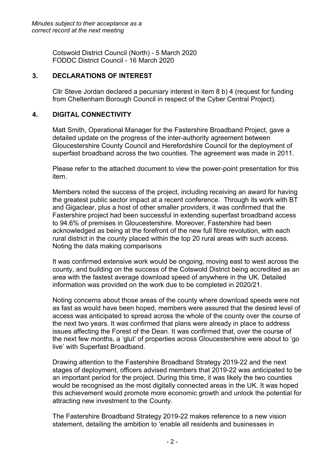Cotswold District Council (North) - 5 March 2020 FODDC District Council - 16 March 2020

## **3. DECLARATIONS OF INTEREST**

Cllr Steve Jordan declared a pecuniary interest in item 8 b) 4 (request for funding from Cheltenham Borough Council in respect of the Cyber Central Project).

## **4. DIGITAL CONNECTIVITY**

Matt Smith, Operational Manager for the Fastershire Broadband Project, gave a detailed update on the progress of the inter-authority agreement between Gloucestershire County Council and Herefordshire Council for the deployment of superfast broadband across the two counties. The agreement was made in 2011.

Please refer to the attached document to view the power-point presentation for this item.

Members noted the success of the project, including receiving an award for having the greatest public sector impact at a recent conference. Through its work with BT and Gigaclear, plus a host of other smaller providers, it was confirmed that the Fastershire project had been successful in extending superfast broadband access to 94.6% of premises in Gloucestershire. Moreover, Fastershire had been acknowledged as being at the forefront of the new full fibre revolution, with each rural district in the county placed within the top 20 rural areas with such access. Noting the data making comparisons

It was confirmed extensive work would be ongoing, moving east to west across the county, and building on the success of the Cotswold District being accredited as an area with the fastest average download speed of anywhere in the UK. Detailed information was provided on the work due to be completed in 2020/21.

Noting concerns about those areas of the county where download speeds were not as fast as would have been hoped, members were assured that the desired level of access was anticipated to spread across the whole of the county over the course of the next two years. It was confirmed that plans were already in place to address issues affecting the Forest of the Dean. It was confirmed that, over the course of the next few months, a 'glut' of properties across Gloucestershire were about to 'go live' with Superfast Broadband.

Drawing attention to the Fastershire Broadband Strategy 2019-22 and the next stages of deployment, officers advised members that 2019-22 was anticipated to be an important period for the project. During this time, it was likely the two counties would be recognised as the most digitally connected areas in the UK. It was hoped this achievement would promote more economic growth and unlock the potential for attracting new investment to the County.

The Fastershire Broadband Strategy 2019-22 makes reference to a new vision statement, detailing the ambition to 'enable all residents and businesses in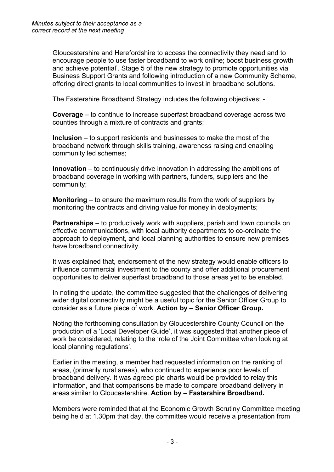Gloucestershire and Herefordshire to access the connectivity they need and to encourage people to use faster broadband to work online; boost business growth and achieve potential'. Stage 5 of the new strategy to promote opportunities via Business Support Grants and following introduction of a new Community Scheme, offering direct grants to local communities to invest in broadband solutions.

The Fastershire Broadband Strategy includes the following objectives: -

**Coverage** – to continue to increase superfast broadband coverage across two counties through a mixture of contracts and grants;

**Inclusion** – to support residents and businesses to make the most of the broadband network through skills training, awareness raising and enabling community led schemes;

**Innovation** – to continuously drive innovation in addressing the ambitions of broadband coverage in working with partners, funders, suppliers and the community;

**Monitoring** – to ensure the maximum results from the work of suppliers by monitoring the contracts and driving value for money in deployments;

**Partnerships** – to productively work with suppliers, parish and town councils on effective communications, with local authority departments to co-ordinate the approach to deployment, and local planning authorities to ensure new premises have broadband connectivity.

It was explained that, endorsement of the new strategy would enable officers to influence commercial investment to the county and offer additional procurement opportunities to deliver superfast broadband to those areas yet to be enabled.

In noting the update, the committee suggested that the challenges of delivering wider digital connectivity might be a useful topic for the Senior Officer Group to consider as a future piece of work. **Action by – Senior Officer Group.**

Noting the forthcoming consultation by Gloucestershire County Council on the production of a 'Local Developer Guide', it was suggested that another piece of work be considered, relating to the 'role of the Joint Committee when looking at local planning regulations'.

Earlier in the meeting, a member had requested information on the ranking of areas, (primarily rural areas), who continued to experience poor levels of broadband delivery. It was agreed pie charts would be provided to relay this information, and that comparisons be made to compare broadband delivery in areas similar to Gloucestershire. **Action by – Fastershire Broadband.**

Members were reminded that at the Economic Growth Scrutiny Committee meeting being held at 1.30pm that day, the committee would receive a presentation from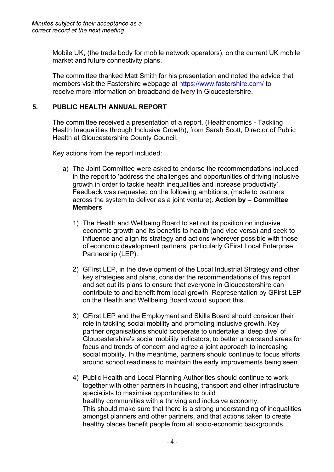Mobile UK, (the trade body for mobile network operators), on the current UK mobile market and future connectivity plans.

The committee thanked Matt Smith for his presentation and noted the advice that members visit the Fastershire webpage at <https://www.fastershire.com/> to receive more information on broadband delivery in Gloucestershire.

# **5. PUBLIC HEALTH ANNUAL REPORT**

The committee received a presentation of a report, (Healthonomics - Tackling Health Inequalities through Inclusive Growth), from Sarah Scott, Director of Public Health at Gloucestershire County Council.

Key actions from the report included:

- a) The Joint Committee were asked to endorse the recommendations included in the report to 'address the challenges and opportunities of driving inclusive growth in order to tackle health inequalities and increase productivity'. Feedback was requested on the following ambitions, (made to partners across the system to deliver as a joint venture). **Action by – Committee Members**
	- 1) The Health and Wellbeing Board to set out its position on inclusive economic growth and its benefits to health (and vice versa) and seek to influence and align its strategy and actions wherever possible with those of economic development partners, particularly GFirst Local Enterprise Partnership (LEP).
	- 2) GFirst LEP, in the development of the Local Industrial Strategy and other key strategies and plans, consider the recommendations of this report and set out its plans to ensure that everyone in Gloucestershire can contribute to and benefit from local growth. Representation by GFirst LEP on the Health and Wellbeing Board would support this.
	- 3) GFirst LEP and the Employment and Skills Board should consider their role in tackling social mobility and promoting inclusive growth. Key partner organisations should cooperate to undertake a 'deep dive' of Gloucestershire's social mobility indicators, to better understand areas for focus and trends of concern and agree a joint approach to increasing social mobility. In the meantime, partners should continue to focus efforts around school readiness to maintain the early improvements being seen.
	- 4) Public Health and Local Planning Authorities should continue to work together with other partners in housing, transport and other infrastructure specialists to maximise opportunities to build healthy communities with a thriving and inclusive economy. This should make sure that there is a strong understanding of inequalities amongst planners and other partners, and that actions taken to create healthy places benefit people from all socio-economic backgrounds.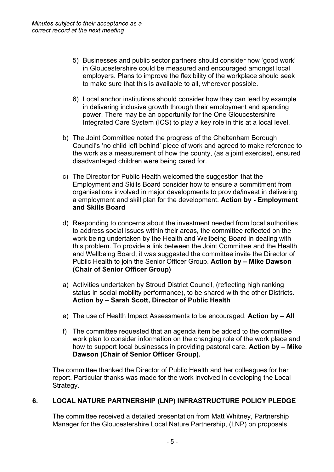- 5) Businesses and public sector partners should consider how 'good work' in Gloucestershire could be measured and encouraged amongst local employers. Plans to improve the flexibility of the workplace should seek to make sure that this is available to all, wherever possible.
- 6) Local anchor institutions should consider how they can lead by example in delivering inclusive growth through their employment and spending power. There may be an opportunity for the One Gloucestershire Integrated Care System (ICS) to play a key role in this at a local level.
- b) The Joint Committee noted the progress of the Cheltenham Borough Council's 'no child left behind' piece of work and agreed to make reference to the work as a measurement of how the county, (as a joint exercise), ensured disadvantaged children were being cared for.
- c) The Director for Public Health welcomed the suggestion that the Employment and Skills Board consider how to ensure a commitment from organisations involved in major developments to provide/invest in delivering a employment and skill plan for the development. **Action by - Employment and Skills Board**
- d) Responding to concerns about the investment needed from local authorities to address social issues within their areas, the committee reflected on the work being undertaken by the Health and Wellbeing Board in dealing with this problem. To provide a link between the Joint Committee and the Health and Wellbeing Board, it was suggested the committee invite the Director of Public Health to join the Senior Officer Group. **Action by – Mike Dawson (Chair of Senior Officer Group)**
- a) Activities undertaken by Stroud District Council, (reflecting high ranking status in social mobility performance), to be shared with the other Districts. **Action by – Sarah Scott, Director of Public Health**
- e) The use of Health Impact Assessments to be encouraged. **Action by – All**
- f) The committee requested that an agenda item be added to the committee work plan to consider information on the changing role of the work place and how to support local businesses in providing pastoral care. **Action by – Mike Dawson (Chair of Senior Officer Group).**

The committee thanked the Director of Public Health and her colleagues for her report. Particular thanks was made for the work involved in developing the Local Strategy.

# **6. LOCAL NATURE PARTNERSHIP (LNP) INFRASTRUCTURE POLICY PLEDGE**

The committee received a detailed presentation from Matt Whitney, Partnership Manager for the Gloucestershire Local Nature Partnership, (LNP) on proposals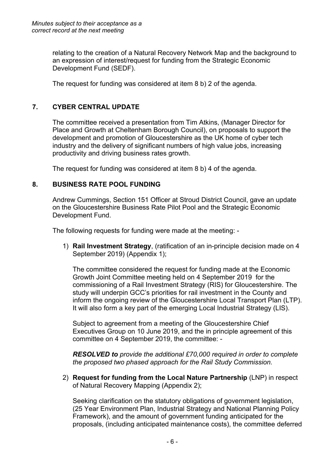relating to the creation of a Natural Recovery Network Map and the background to an expression of interest/request for funding from the Strategic Economic Development Fund (SEDF).

The request for funding was considered at item 8 b) 2 of the agenda.

# **7. CYBER CENTRAL UPDATE**

The committee received a presentation from Tim Atkins, (Manager Director for Place and Growth at Cheltenham Borough Council), on proposals to support the development and promotion of Gloucestershire as the UK home of cyber tech industry and the delivery of significant numbers of high value jobs, increasing productivity and driving business rates growth.

The request for funding was considered at item 8 b) 4 of the agenda.

## **8. BUSINESS RATE POOL FUNDING**

Andrew Cummings, Section 151 Officer at Stroud District Council, gave an update on the Gloucestershire Business Rate Pilot Pool and the Strategic Economic Development Fund.

The following requests for funding were made at the meeting: -

1) **Rail Investment Strategy**, (ratification of an in-principle decision made on 4 September 2019) (Appendix 1);

The committee considered the request for funding made at the Economic Growth Joint Committee meeting held on 4 September 2019 for the commissioning of a Rail Investment Strategy (RIS) for Gloucestershire. The study will underpin GCC's priorities for rail investment in the County and inform the ongoing review of the Gloucestershire Local Transport Plan (LTP). It will also form a key part of the emerging Local Industrial Strategy (LIS).

Subject to agreement from a meeting of the Gloucestershire Chief Executives Group on 10 June 2019, and the in principle agreement of this committee on 4 September 2019, the committee: -

*RESOLVED to provide the additional £70,000 required in order to complete the proposed two phased approach for the Rail Study Commission.*

2) **Request for funding from the Local Nature Partnership** (LNP) in respect of Natural Recovery Mapping (Appendix 2);

Seeking clarification on the statutory obligations of government legislation, (25 Year Environment Plan, Industrial Strategy and National Planning Policy Framework), and the amount of government funding anticipated for the proposals, (including anticipated maintenance costs), the committee deferred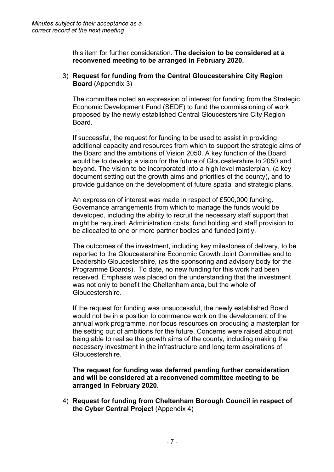this item for further consideration. **The decision to be considered at a reconvened meeting to be arranged in February 2020.**

3) **Request for funding from the Central Gloucestershire City Region Board** (Appendix 3)

The committee noted an expression of interest for funding from the Strategic Economic Development Fund (SEDF) to fund the commissioning of work proposed by the newly established Central Gloucestershire City Region Board.

If successful, the request for funding to be used to assist in providing additional capacity and resources from which to support the strategic aims of the Board and the ambitions of Vision 2050. A key function of the Board would be to develop a vision for the future of Gloucestershire to 2050 and beyond. The vision to be incorporated into a high level masterplan, (a key document setting out the growth aims and priorities of the county), and to provide guidance on the development of future spatial and strategic plans.

An expression of interest was made in respect of £500,000 funding. Governance arrangements from which to manage the funds would be developed, including the ability to recruit the necessary staff support that might be required. Administration costs, fund holding and staff provision to be allocated to one or more partner bodies and funded jointly.

The outcomes of the investment, including key milestones of delivery, to be reported to the Gloucestershire Economic Growth Joint Committee and to Leadership Gloucestershire, (as the sponsoring and advisory body for the Programme Boards). To date, no new funding for this work had been received. Emphasis was placed on the understanding that the investment was not only to benefit the Cheltenham area, but the whole of Gloucestershire.

If the request for funding was unsuccessful, the newly established Board would not be in a position to commence work on the development of the annual work programme, nor focus resources on producing a masterplan for the setting out of ambitions for the future. Concerns were raised about not being able to realise the growth aims of the county, including making the necessary investment in the infrastructure and long term aspirations of Gloucestershire.

**The request for funding was deferred pending further consideration and will be considered at a reconvened committee meeting to be arranged in February 2020.**

4) **Request for funding from Cheltenham Borough Council in respect of the Cyber Central Project** (Appendix 4)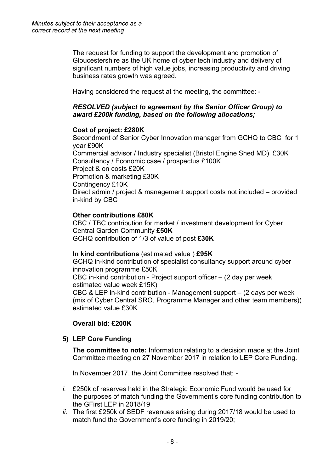The request for funding to support the development and promotion of Gloucestershire as the UK home of cyber tech industry and delivery of significant numbers of high value jobs, increasing productivity and driving business rates growth was agreed.

Having considered the request at the meeting, the committee: -

## *RESOLVED (subject to agreement by the Senior Officer Group) to award £200k funding, based on the following allocations;*

# **Cost of project: £280K**

Secondment of Senior Cyber Innovation manager from GCHQ to CBC for 1 year £90K Commercial advisor / Industry specialist (Bristol Engine Shed MD) £30K Consultancy / Economic case / prospectus £100K Project & on costs £20K Promotion & marketing £30K Contingency £10K Direct admin / project & management support costs not included – provided in-kind by CBC

# **Other contributions £80K**

CBC / TBC contribution for market / investment development for Cyber Central Garden Community **£50K** GCHQ contribution of 1/3 of value of post **£30K**

#### **In kind contributions** (estimated value ) **£95K**

GCHQ in-kind contribution of specialist consultancy support around cyber innovation programme £50K CBC in-kind contribution - Project support officer – (2 day per week estimated value week £15K) CBC & LEP in-kind contribution - Management support – (2 days per week (mix of Cyber Central SRO, Programme Manager and other team members)) estimated value £30K

#### **Overall bid: £200K**

#### **5) LEP Core Funding**

**The committee to note:** Information relating to a decision made at the Joint Committee meeting on 27 November 2017 in relation to LEP Core Funding.

In November 2017, the Joint Committee resolved that: -

- *i.* £250k of reserves held in the Strategic Economic Fund would be used for the purposes of match funding the Government's core funding contribution to the GFirst LEP in 2018/19
- *ii.* The first £250k of SEDF revenues arising during 2017/18 would be used to match fund the Government's core funding in 2019/20;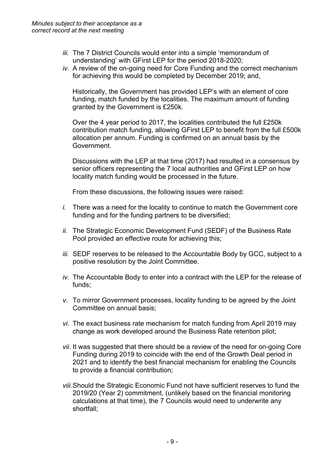- *iii.* The 7 District Councils would enter into a simple 'memorandum of understanding' with GFirst LEP for the period 2018-2020;
- *iv.* A review of the on-going need for Core Funding and the correct mechanism for achieving this would be completed by December 2019; and,

Historically, the Government has provided LEP's with an element of core funding, match funded by the localities. The maximum amount of funding granted by the Government is £250k.

Over the 4 year period to 2017, the localities contributed the full £250k contribution match funding, allowing GFirst LEP to benefit from the full £500k allocation per annum. Funding is confirmed on an annual basis by the Government.

Discussions with the LEP at that time (2017) had resulted in a consensus by senior officers representing the 7 local authorities and GFirst LEP on how locality match funding would be processed in the future.

From these discussions, the following issues were raised:

- *i.* There was a need for the locality to continue to match the Government core funding and for the funding partners to be diversified;
- *ii.* The Strategic Economic Development Fund (SEDF) of the Business Rate Pool provided an effective route for achieving this;
- *iii.* SEDF reserves to be released to the Accountable Body by GCC, subject to a positive resolution by the Joint Committee.
- *iv.* The Accountable Body to enter into a contract with the LEP for the release of funds;
- *v.* To mirror Government processes, locality funding to be agreed by the Joint Committee on annual basis;
- *vi.* The exact business rate mechanism for match funding from April 2019 may change as work developed around the Business Rate retention pilot;
- *vii.* It was suggested that there should be a review of the need for on-going Core Funding during 2019 to coincide with the end of the Growth Deal period in 2021 and to identify the best financial mechanism for enabling the Councils to provide a financial contribution;
- *viii.*Should the Strategic Economic Fund not have sufficient reserves to fund the 2019/20 (Year 2) commitment, (unlikely based on the financial monitoring calculations at that time), the 7 Councils would need to underwrite any shortfall;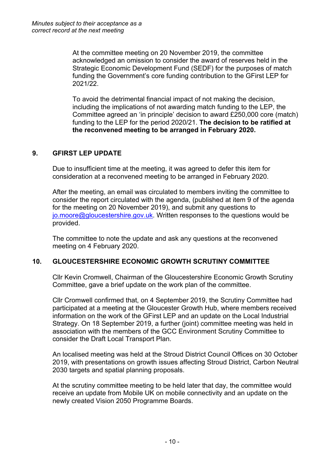At the committee meeting on 20 November 2019, the committee acknowledged an omission to consider the award of reserves held in the Strategic Economic Development Fund (SEDF) for the purposes of match funding the Government's core funding contribution to the GFirst LEP for 2021/22.

To avoid the detrimental financial impact of not making the decision, including the implications of not awarding match funding to the LEP, the Committee agreed an 'in principle' decision to award £250,000 core (match) funding to the LEP for the period 2020/21. **The decision to be ratified at the reconvened meeting to be arranged in February 2020.**

# **9. GFIRST LEP UPDATE**

Due to insufficient time at the meeting, it was agreed to defer this item for consideration at a reconvened meeting to be arranged in February 2020.

After the meeting, an email was circulated to members inviting the committee to consider the report circulated with the agenda, (published at item 9 of the agenda for the meeting on 20 November 2019), and submit any questions to [jo.moore@gloucestershire.gov.uk.](mailto:jo.moore@gloucestershire.gov.uk) Written responses to the questions would be provided.

The committee to note the update and ask any questions at the reconvened meeting on 4 February 2020.

# **10. GLOUCESTERSHIRE ECONOMIC GROWTH SCRUTINY COMMITTEE**

Cllr Kevin Cromwell, Chairman of the Gloucestershire Economic Growth Scrutiny Committee, gave a brief update on the work plan of the committee.

Cllr Cromwell confirmed that, on 4 September 2019, the Scrutiny Committee had participated at a meeting at the Gloucester Growth Hub, where members received information on the work of the GFirst LEP and an update on the Local Industrial Strategy. On 18 September 2019, a further (joint) committee meeting was held in association with the members of the GCC Environment Scrutiny Committee to consider the Draft Local Transport Plan.

An localised meeting was held at the Stroud District Council Offices on 30 October 2019, with presentations on growth issues affecting Stroud District, Carbon Neutral 2030 targets and spatial planning proposals.

At the scrutiny committee meeting to be held later that day, the committee would receive an update from Mobile UK on mobile connectivity and an update on the newly created Vision 2050 Programme Boards.